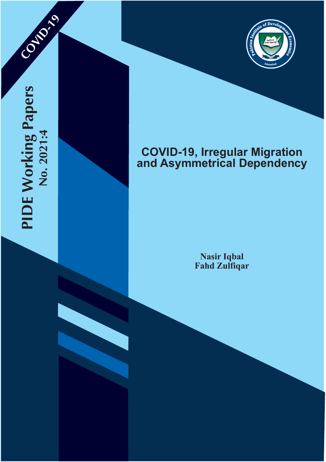

**COVID-19** 



# **COVID-19, Irregular Migration and Asymmetrical Dependency**

**Nasir Iqbal Fahd Zulfiqar**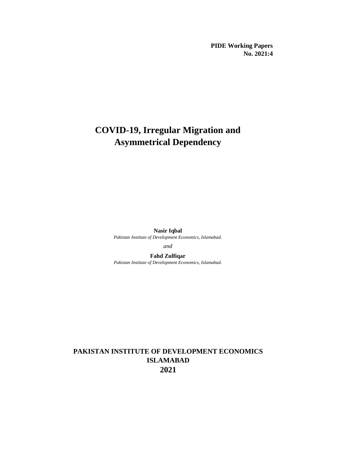**PIDE Working Papers No. 2021:4**

# **COVID-19, Irregular Migration and Asymmetrical Dependency**

**Nasir Iqbal** *Pakistan Institute of Development Economics, Islamabad.*

*and*

**Fahd Zulfiqar** *Pakistan Institute of Development Economics, Islamabad.*

# **PAKISTAN INSTITUTE OF DEVELOPMENT ECONOMICS ISLAMABAD 2021**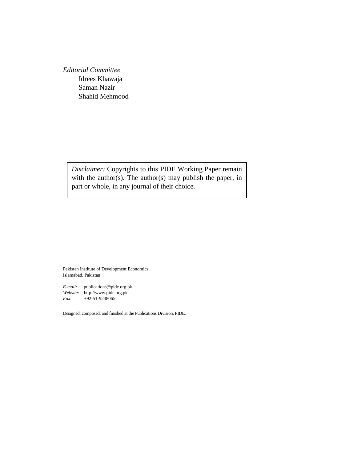*Editorial Committee* Idrees Khawaja Saman Nazir Shahid Mehmood

> *Disclaimer:* Copyrights to this PIDE Working Paper remain with the author(s). The author(s) may publish the paper, in part or whole, in any journal of their choice.

Pakistan Institute of Development Economics Islamabad, Pakistan

*E-mail:* publications@pide.org.pk *Website:* http://www.pide.org.pk *Fax:* +92-51-9248065

Designed, composed, and finished at the Publications Division, PIDE.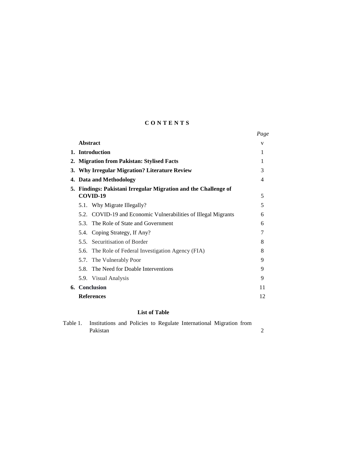# **C O N T E N T S**

|    |                                                                             | Page |  |  |  |  |  |
|----|-----------------------------------------------------------------------------|------|--|--|--|--|--|
|    | <b>Abstract</b>                                                             | v    |  |  |  |  |  |
|    | 1. Introduction                                                             |      |  |  |  |  |  |
| 2. | <b>Migration from Pakistan: Stylised Facts</b>                              |      |  |  |  |  |  |
| 3. | <b>Why Irregular Migration? Literature Review</b>                           |      |  |  |  |  |  |
| 4. | Data and Methodology                                                        |      |  |  |  |  |  |
|    | 5. Findings: Pakistani Irregular Migration and the Challenge of<br>COVID-19 |      |  |  |  |  |  |
|    | 5.1. Why Migrate Illegally?                                                 | 5    |  |  |  |  |  |
|    | 5.2. COVID-19 and Economic Vulnerabilities of Illegal Migrants              | 6    |  |  |  |  |  |
|    | 5.3. The Role of State and Government                                       | 6    |  |  |  |  |  |
|    | Coping Strategy, If Any?<br>5.4.                                            | 7    |  |  |  |  |  |
|    | 5.5. Securitisation of Border                                               | 8    |  |  |  |  |  |
|    | The Role of Federal Investigation Agency (FIA)<br>5.6.                      | 8    |  |  |  |  |  |
|    | 5.7. The Vulnerably Poor                                                    | 9    |  |  |  |  |  |
|    | 5.8. The Need for Doable Interventions                                      | 9    |  |  |  |  |  |
|    | 5.9. Visual Analysis                                                        | 9    |  |  |  |  |  |
|    | 6. Conclusion                                                               | 11   |  |  |  |  |  |
|    | <b>References</b>                                                           | 12   |  |  |  |  |  |

# **List of Table**

| Table 1. |          |  |  | Institutions and Policies to Regulate International Migration from |  |  |
|----------|----------|--|--|--------------------------------------------------------------------|--|--|
|          | Pakistan |  |  |                                                                    |  |  |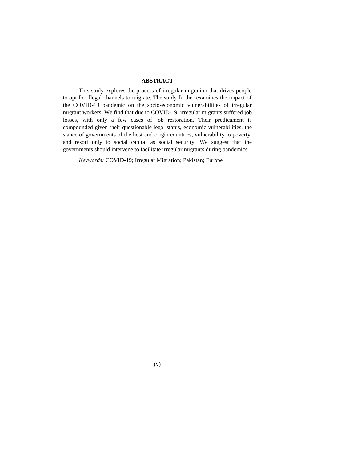# **ABSTRACT**

This study explores the process of irregular migration that drives people to opt for illegal channels to migrate. The study further examines the impact of the COVID-19 pandemic on the socio-economic vulnerabilities of irregular migrant workers. We find that due to COVID-19, irregular migrants suffered job losses, with only a few cases of job restoration. Their predicament is compounded given their questionable legal status, economic vulnerabilities, the stance of governments of the host and origin countries, vulnerability to poverty, and resort only to social capital as social security. We suggest that the governments should intervene to facilitate irregular migrants during pandemics.

*Keywords:* COVID-19; Irregular Migration; Pakistan; Europe

(v)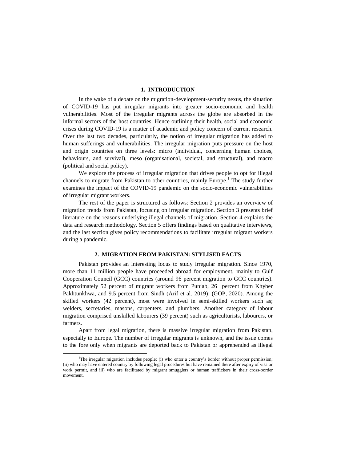# **1. INTRODUCTION**

In the wake of a debate on the migration-development-security nexus, the situation of COVID-19 has put irregular migrants into greater socio-economic and health vulnerabilities. Most of the irregular migrants across the globe are absorbed in the informal sectors of the host countries. Hence outlining their health, social and economic crises during COVID-19 is a matter of academic and policy concern of current research. Over the last two decades, particularly, the notion of irregular migration has added to human sufferings and vulnerabilities. The irregular migration puts pressure on the host and origin countries on three levels: micro (individual, concerning human choices, behaviours, and survival), meso (organisational, societal, and structural), and macro (political and social policy).

We explore the process of irregular migration that drives people to opt for illegal channels to migrate from Pakistan to other countries, mainly Europe.<sup>1</sup> The study further examines the impact of the COVID-19 pandemic on the socio-economic vulnerabilities of irregular migrant workers.

The rest of the paper is structured as follows: Section 2 provides an overview of migration trends from Pakistan, focusing on irregular migration. Section 3 presents brief literature on the reasons underlying illegal channels of migration. Section 4 explains the data and research methodology. Section 5 offers findings based on qualitative interviews, and the last section gives policy recommendations to facilitate irregular migrant workers during a pandemic.

# **2. MIGRATION FROM PAKISTAN: STYLISED FACTS**

Pakistan provides an interesting locus to study irregular migration. Since 1970, more than 11 million people have proceeded abroad for employment, mainly to Gulf Cooperation Council (GCC) countries (around 96 percent migration to GCC countries). Approximately 52 percent of migrant workers from Punjab, 26 percent from Khyber Pakhtunkhwa, and 9.5 percent from Sindh (Arif et al. 2019); (GOP, 2020). Among the skilled workers (42 percent), most were involved in semi-skilled workers such as; welders, secretaries, masons, carpenters, and plumbers. Another category of labour migration comprised unskilled labourers (39 percent) such as agriculturists, labourers, or farmers.

Apart from legal migration, there is massive irregular migration from Pakistan, especially to Europe. The number of irregular migrants is unknown, and the issue comes to the fore only when migrants are deported back to Pakistan or apprehended as illegal

 $\overline{\phantom{a}}$ 

<sup>&</sup>lt;sup>1</sup>The irregular migration includes people; (i) who enter a country's border without proper permission; (ii) who may have entered country by following legal procedures but have remained there after expiry of visa or work permit, and iii) who are facilitated by migrant smugglers or human traffickers in their cross-border movement.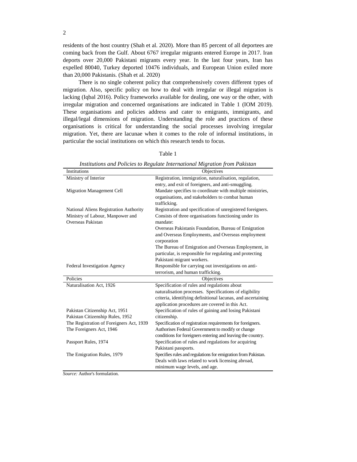residents of the host country (Shah et al. 2020). More than 85 percent of all deportees are coming back from the Gulf. About 6767 irregular migrants entered Europe in 2017. Iran deports over 20,000 Pakistani migrants every year. In the last four years, Iran has expelled 80040, Turkey deported 10476 individuals, and European Union exiled more than 20,000 Pakistanis. (Shah et al. 2020)

There is no single coherent policy that comprehensively covers different types of migration. Also, specific policy on how to deal with irregular or illegal migration is lacking (Iqbal 2016). Policy frameworks available for dealing, one way or the other, with irregular migration and concerned organisations are indicated in Table 1 (IOM 2019). These organisations and policies address and cater to emigrants, immigrants, and illegal/legal dimensions of migration. Understanding the role and practices of these organisations is critical for understanding the social processes involving irregular migration. Yet, there are lacunae when it comes to the role of informal institutions, in particular the social institutions on which this research tends to focus.

|                                                       | Institutions and Policies to Regulate International Migration from Pakistan                                     |
|-------------------------------------------------------|-----------------------------------------------------------------------------------------------------------------|
| <b>Institutions</b>                                   | Objectives                                                                                                      |
| Ministry of Interior                                  | Registration, immigration, naturalisation, regulation,                                                          |
|                                                       | entry, and exit of foreigners, and anti-smuggling.                                                              |
| <b>Migration Management Cell</b>                      | Mandate specifies to coordinate with multiple ministries,                                                       |
|                                                       | organisations, and stakeholders to combat human                                                                 |
|                                                       | trafficking.                                                                                                    |
| National Aliens Registration Authority                | Registration and specification of unregistered foreigners.                                                      |
| Ministry of Labour, Manpower and<br>Overseas Pakistan | Consists of three organisations functioning under its<br>mandate:                                               |
|                                                       | Overseas Pakistanis Foundation, Bureau of Emigration                                                            |
|                                                       | and Overseas Employments, and Overseas employment                                                               |
|                                                       | corporation                                                                                                     |
|                                                       | The Bureau of Emigration and Overseas Employment, in                                                            |
|                                                       | particular, is responsible for regulating and protecting                                                        |
|                                                       | Pakistani migrant workers.                                                                                      |
| <b>Federal Investigation Agency</b>                   | Responsible for carrying out investigations on anti-                                                            |
|                                                       | terrorism, and human trafficking.                                                                               |
| Policies                                              | Objectives                                                                                                      |
| Naturalisation Act, 1926                              | Specification of rules and regulations about                                                                    |
|                                                       | naturalisation processes. Specifications of eligibility                                                         |
|                                                       | criteria, identifying definitional lacunas, and ascertaining<br>application procedures are covered in this Act. |
| Pakistan Citizenship Act, 1951                        | Specification of rules of gaining and losing Pakistani                                                          |
| Pakistan Citizenship Rules, 1952                      | citizenship.                                                                                                    |
| The Registration of Foreigners Act, 1939              | Specification of registration requirements for foreigners.                                                      |
| The Foreigners Act, 1946                              | Authorises Federal Government to modify or change                                                               |
|                                                       | conditions for foreigners entering and leaving the country.                                                     |
| Passport Rules, 1974                                  | Specification of rules and regulations for acquiring                                                            |
|                                                       | Pakistani passports.                                                                                            |
| The Emigration Rules, 1979                            | Specifies rules and regulations for emigration from Pakistan.                                                   |
|                                                       | Deals with laws related to work licensing abroad,                                                               |
|                                                       | minimum wage levels, and age.                                                                                   |

Table 1 *Institutions and Policies to Regulate International Migration from Pakistan*

*Source:* Author's formulation.

 $\overline{a}$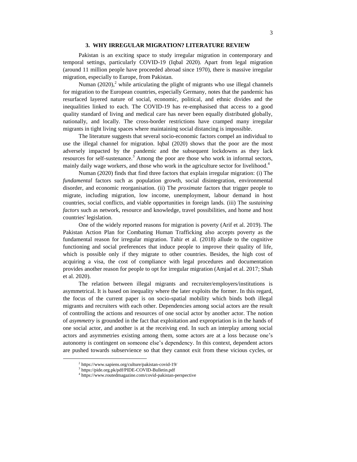# **3. WHY IRREGULAR MIGRATION? LITERATURE REVIEW**

Pakistan is an exciting space to study irregular migration in contemporary and temporal settings, particularly COVID-19 (Iqbal 2020). Apart from legal migration (around 11 million people have proceeded abroad since 1970), there is massive irregular migration, especially to Europe, from Pakistan.

Numan  $(2020)$ ,<sup>2</sup> while articulating the plight of migrants who use illegal channels for migration to the European countries, especially Germany, notes that the pandemic has resurfaced layered nature of social, economic, political, and ethnic divides and the inequalities linked to each. The COVID-19 has re-emphasised that access to a good quality standard of living and medical care has never been equally distributed globally, nationally, and locally. The cross-border restrictions have cramped many irregular migrants in tight living spaces where maintaining social distancing is impossible.

The literature suggests that several socio-economic factors compel an individual to use the illegal channel for migration. Iqbal (2020) shows that the poor are the most adversely impacted by the pandemic and the subsequent lockdowns as they lack resources for self-sustenance.<sup>3</sup> Among the poor are those who work in informal sectors, mainly daily wage workers, and those who work in the agriculture sector for livelihood.<sup>4</sup>

Numan (2020) finds that find three factors that explain irregular migration: (i) The *fundamental* factors such as population growth, social disintegration, environmental disorder, and economic reorganisation. (ii) The *proximate* factors that trigger people to migrate, including migration, low income, unemployment, labour demand in host countries, social conflicts, and viable opportunities in foreign lands. (iii) The *sustaining factors* such as network, resource and knowledge, travel possibilities, and home and host countries' legislation.

One of the widely reported reasons for migration is poverty (Arif et al. 2019). The Pakistan Action Plan for Combating Human Trafficking also accepts poverty as the fundamental reason for irregular migration. Tahir et al. (2018) allude to the cognitive functioning and social preferences that induce people to improve their quality of life, which is possible only if they migrate to other countries. Besides, the high cost of acquiring a visa, the cost of compliance with legal procedures and documentation provides another reason for people to opt for irregular migration (Amjad et al. 2017; Shah et al. 2020).

The relation between illegal migrants and recruiter/employers/institutions is asymmetrical. It is based on inequality where the later exploits the former. In this regard, the focus of the current paper is on socio-spatial mobility which binds both illegal migrants and recruiters with each other. Dependencies among social actors are the result of controlling the actions and resources of one social actor by another actor. The notion of *asymmetry* is grounded in the fact that exploitation and expropriation is in the hands of one social actor, and another is at the receiving end. In such an interplay among social actors and asymmetries existing among them, some actors are at a loss because one's autonomy is contingent on someone else's dependency. In this context, dependent actors are pushed towards subservience so that they cannot exit from these vicious cycles, or

 $\overline{\phantom{a}}$ 

<sup>2</sup> https://www.sapiens.org/culture/pakistan-covid-19/

<sup>3</sup> https://pide.org.pk/pdf/PIDE-COVID-Bulletin.pdf

<sup>4</sup> https://www.routedmagazine.com/covid-pakistan-perspective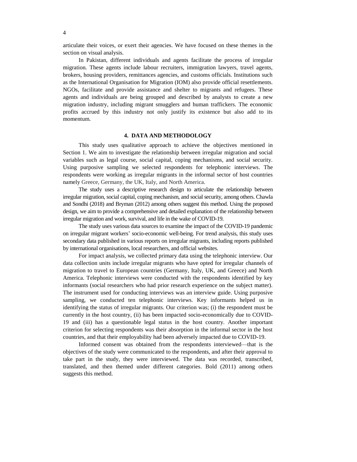articulate their voices, or exert their agencies. We have focused on these themes in the section on visual analysis.

In Pakistan, different individuals and agents facilitate the process of irregular migration. These agents include labour recruiters, immigration lawyers, travel agents, brokers, housing providers, remittances agencies, and customs officials. Institutions such as the International Organisation for Migration (IOM) also provide official resettlements. NGOs, facilitate and provide assistance and shelter to migrants and refugees. These agents and individuals are being grouped and described by analysts to create a new migration industry, including migrant smugglers and human traffickers. The economic profits accrued by this industry not only justify its existence but also add to its momentum.

#### **4. DATA AND METHODOLOGY**

This study uses qualitative approach to achieve the objectives mentioned in Section 1. We aim to investigate the relationship between irregular migration and social variables such as legal course, social capital, coping mechanisms, and social security. Using purposive sampling we selected respondents for telephonic interviews. The respondents were working as irregular migrants in the informal sector of host countries namely Greece, Germany, the UK, Italy, and North America.

The study uses a descriptive research design to articulate the relationship between irregular migration, social capital, coping mechanism, and social security, among others. Chawla and Sondhi (2018) and Bryman (2012) among others suggest this method. Using the proposed design, we aim to provide a comprehensive and detailed explanation of the relationship between irregular migration and work, survival, and life in the wake of COVID-19.

The study uses various data sources to examine the impact of the COVID-19 pandemic on irregular migrant workers' socio-economic well-being. For trend analysis, this study uses secondary data published in various reports on irregular migrants, including reports published by international organisations, local researchers, and official websites.

For impact analysis, we collected primary data using the telephonic interview. Our data collection units include irregular migrants who have opted for irregular channels of migration to travel to European countries (Germany, Italy, UK, and Greece) and North America. Telephonic interviews were conducted with the respondents identified by key informants (social researchers who had prior research experience on the subject matter). The instrument used for conducting interviews was an interview guide. Using purposive sampling, we conducted ten telephonic interviews. Key informants helped us in identifying the status of irregular migrants. Our criterion was; (i) the respondent must be currently in the host country, (ii) has been impacted socio-economically due to COVID-19 and (iii) has a questionable legal status in the host country. Another important criterion for selecting respondents was their absorption in the informal sector in the host countries, and that their employability had been adversely impacted due to COVID-19.

Informed consent was obtained from the respondents interviewed—that is the objectives of the study were communicated to the respondents, and after their approval to take part in the study, they were interviewed. The data was recorded, transcribed, translated, and then themed under different categories. Bold (2011) among others suggests this method.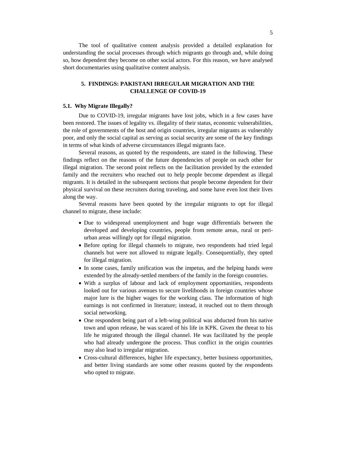The tool of qualitative content analysis provided a detailed explanation for understanding the social processes through which migrants go through and, while doing so, how dependent they become on other social actors. For this reason, we have analysed short documentaries using qualitative content analysis.

# **5. FINDINGS: PAKISTANI IRREGULAR MIGRATION AND THE CHALLENGE OF COVID-19**

## **5.1. Why Migrate Illegally?**

Due to COVID-19, irregular migrants have lost jobs, which in a few cases have been restored. The issues of legality vs. illegality of their status, economic vulnerabilities, the role of governments of the host and origin countries, irregular migrants as vulnerably poor, and only the social capital as serving as social security are some of the key findings in terms of what kinds of adverse circumstances illegal migrants face.

Several reasons, as quoted by the respondents, are stated in the following. These findings reflect on the reasons of the future dependencies of people on each other for illegal migration. The second point reflects on the facilitation provided by the extended family and the recruiters who reached out to help people become dependent as illegal migrants. It is detailed in the subsequent sections that people become dependent for their physical survival on these recruiters during traveling, and some have even lost their lives along the way.

Several reasons have been quoted by the irregular migrants to opt for illegal channel to migrate, these include:

- Due to widespread unemployment and huge wage differentials between the developed and developing countries, people from remote areas, rural or periurban areas willingly opt for illegal migration.
- Before opting for illegal channels to migrate, two respondents had tried legal channels but were not allowed to migrate legally. Consequentially, they opted for illegal migration.
- In some cases, family unification was the impetus, and the helping hands were extended by the already-settled members of the family in the foreign countries.
- With a surplus of labour and lack of employment opportunities, respondents looked out for various avenues to secure livelihoods in foreign countries whose major lure is the higher wages for the working class. The information of high earnings is not confirmed in literature; instead, it reached out to them through social networking.
- One respondent being part of a left-wing political was abducted from his native town and upon release, he was scared of his life in KPK. Given the threat to his life he migrated through the illegal channel. He was facilitated by the people who had already undergone the process. Thus conflict in the origin countries may also lead to irregular migration.
- Cross-cultural differences, higher life expectancy, better business opportunities, and better living standards are some other reasons quoted by the respondents who opted to migrate.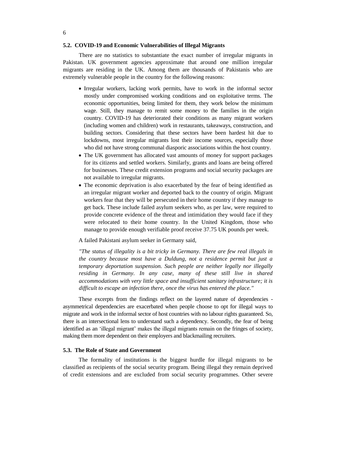#### **5.2. COVID-19 and Economic Vulnerabilities of Illegal Migrants**

There are no statistics to substantiate the exact number of irregular migrants in Pakistan. UK government agencies approximate that around one million irregular migrants are residing in the UK. Among them are thousands of Pakistanis who are extremely vulnerable people in the country for the following reasons:

- Irregular workers, lacking work permits, have to work in the informal sector mostly under compromised working conditions and on exploitative terms. The economic opportunities, being limited for them, they work below the minimum wage. Still, they manage to remit some money to the families in the origin country. COVID-19 has deteriorated their conditions as many migrant workers (including women and children) work in restaurants, takeaways, construction, and building sectors. Considering that these sectors have been hardest hit due to lockdowns, most irregular migrants lost their income sources, especially those who did not have strong communal diasporic associations within the host country.
- The UK government has allocated vast amounts of money for support packages for its citizens and settled workers. Similarly, grants and loans are being offered for businesses. These credit extension programs and social security packages are not available to irregular migrants.
- The economic deprivation is also exacerbated by the fear of being identified as an irregular migrant worker and deported back to the country of origin. Migrant workers fear that they will be persecuted in their home country if they manage to get back. These include failed asylum seekers who, as per law, were required to provide concrete evidence of the threat and intimidation they would face if they were relocated to their home country. In the United Kingdom, those who manage to provide enough verifiable proof receive 37.75 UK pounds per week.

A failed Pakistani asylum seeker in Germany said,

*"The status of illegality is a bit tricky in Germany. There are few real illegals in the country because most have a Duldung, not a residence permit but just a temporary deportation suspension. Such people are neither legally nor illegally residing in Germany. In any case, many of these still live in shared accommodations with very little space and insufficient sanitary infrastructure; it is difficult to escape an infection there, once the virus has entered the place."*

These excerpts from the findings reflect on the layered nature of dependencies asymmetrical dependencies are exacerbated when people choose to opt for illegal ways to migrate and work in the informal sector of host countries with no labour rights guaranteed. So, there is an intersectional lens to understand such a dependency. Secondly, the fear of being identified as an 'illegal migrant' makes the illegal migrants remain on the fringes of society, making them more dependent on their employers and blackmailing recruiters.

#### **5.3. The Role of State and Government**

The formality of institutions is the biggest hurdle for illegal migrants to be classified as recipients of the social security program. Being illegal they remain deprived of credit extensions and are excluded from social security programmes. Other severe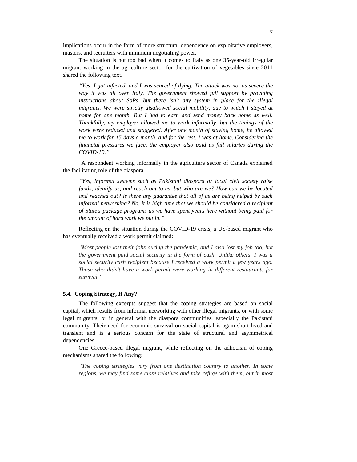implications occur in the form of more structural dependence on exploitative employers, masters, and recruiters with minimum negotiating power.

The situation is not too bad when it comes to Italy as one 35-year-old irregular migrant working in the agriculture sector for the cultivation of vegetables since 2011 shared the following text.

*"Yes, I got infected, and I was scared of dying. The attack was not as severe the way it was all over Italy. The government showed full support by providing instructions about SoPs, but there isn't any system in place for the illegal migrants. We were strictly disallowed social mobility, due to which I stayed at home for one month. But I had to earn and send money back home as well. Thankfully, my employer allowed me to work informally, but the timings of the work were reduced and staggered. After one month of staying home, he allowed me to work for 15 days a month, and for the rest, I was at home. Considering the financial pressures we face, the employer also paid us full salaries during the COVID-19."*

A respondent working informally in the agriculture sector of Canada explained the facilitating role of the diaspora.

*"Yes, informal systems such as Pakistani diaspora or local civil society raise funds, identify us, and reach out to us, but who are we? How can we be located and reached out? Is there any guarantee that all of us are being helped by such informal networking? No, it is high time that we should be considered a recipient of State's package programs as we have spent years here without being paid for the amount of hard work we put in."*

Reflecting on the situation during the COVID-19 crisis, a US-based migrant who has eventually received a work permit claimed:

*"Most people lost their jobs during the pandemic, and I also lost my job too, but the government paid social security in the form of cash. Unlike others, I was a social security cash recipient because I received a work permit a few years ago. Those who didn't have a work permit were working in different restaurants for survival."*

## **5.4. Coping Strategy, If Any?**

The following excerpts suggest that the coping strategies are based on social capital, which results from informal networking with other illegal migrants, or with some legal migrants, or in general with the diaspora communities, especially the Pakistani community. Their need for economic survival on social capital is again short-lived and transient and is a serious concern for the state of structural and asymmetrical dependencies.

One Greece-based illegal migrant, while reflecting on the adhocism of coping mechanisms shared the following:

*"The coping strategies vary from one destination country to another. In some regions, we may find some close relatives and take refuge with them, but in most*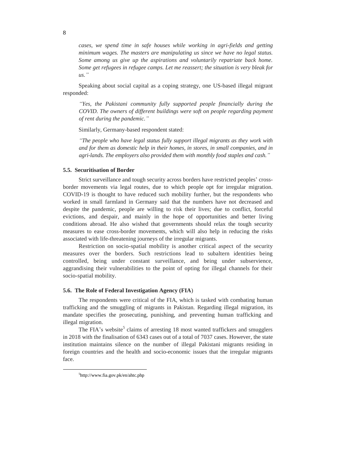*cases, we spend time in safe houses while working in agri-fields and getting minimum wages. The masters are manipulating us since we have no legal status. Some among us give up the aspirations and voluntarily repatriate back home. Some get refugees in refugee camps. Let me reassert; the situation is very bleak for us."*

Speaking about social capital as a coping strategy, one US-based illegal migrant responded:

*"Yes, the Pakistani community fully supported people financially during the COVID. The owners of different buildings were soft on people regarding payment of rent during the pandemic."*

Similarly, Germany-based respondent stated:

*"The people who have legal status fully support illegal migrants as they work with and for them as domestic help in their homes, in stores, in small companies, and in agri-lands. The employers also provided them with monthly food staples and cash."*

## **5.5. Securitisation of Border**

Strict surveillance and tough security across borders have restricted peoples' crossborder movements via legal routes, due to which people opt for irregular migration. COVID-19 is thought to have reduced such mobility further, but the respondents who worked in small farmland in Germany said that the numbers have not decreased and despite the pandemic, people are willing to risk their lives; due to conflict, forceful evictions, and despair, and mainly in the hope of opportunities and better living conditions abroad. He also wished that governments should relax the tough security measures to ease cross-border movements, which will also help in reducing the risks associated with life-threatening journeys of the irregular migrants.

Restriction on socio-spatial mobility is another critical aspect of the security measures over the borders. Such restrictions lead to subaltern identities being controlled, being under constant surveillance, and being under subservience, aggrandising their vulnerabilities to the point of opting for illegal channels for their socio-spatial mobility.

#### **5.6. The Role of Federal Investigation Agency (FIA**)

The respondents were critical of the FIA, which is tasked with combating human trafficking and the smuggling of migrants in Pakistan. Regarding illegal migration, its mandate specifies the prosecuting, punishing, and preventing human trafficking and illegal migration.

The FIA's website<sup>5</sup> claims of arresting 18 most wanted traffickers and smugglers in 2018 with the finalisation of 6343 cases out of a total of 7037 cases. However, the state institution maintains silence on the number of illegal Pakistani migrants residing in foreign countries and the health and socio-economic issues that the irregular migrants face.

 $\overline{\phantom{a}}$ 

<sup>5</sup> http://www.fia.gov.pk/en/ahtc.php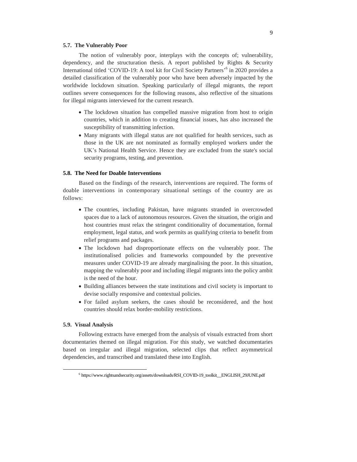#### **5.7. The Vulnerably Poor**

The notion of vulnerably poor, interplays with the concepts of; vulnerability, dependency, and the structuration thesis. A report published by Rights & Security International titled 'COVID-19: A tool kit for Civil Society Partners<sup>,6</sup> in 2020 provides a detailed classification of the vulnerably poor who have been adversely impacted by the worldwide lockdown situation. Speaking particularly of illegal migrants, the report outlines severe consequences for the following reasons, also reflective of the situations for illegal migrants interviewed for the current research.

- The lockdown situation has compelled massive migration from host to origin countries, which in addition to creating financial issues, has also increased the susceptibility of transmitting infection.
- Many migrants with illegal status are not qualified for health services, such as those in the UK are not nominated as formally employed workers under the UK's National Health Service. Hence they are excluded from the state's social security programs, testing, and prevention.

# **5.8. The Need for Doable Interventions**

Based on the findings of the research, interventions are required. The forms of doable interventions in contemporary situational settings of the country are as follows:

- The countries, including Pakistan, have migrants stranded in overcrowded spaces due to a lack of autonomous resources. Given the situation, the origin and host countries must relax the stringent conditionality of documentation, formal employment, legal status, and work permits as qualifying criteria to benefit from relief programs and packages.
- The lockdown had disproportionate effects on the vulnerably poor. The institutionalised policies and frameworks compounded by the preventive measures under COVID-19 are already marginalising the poor. In this situation, mapping the vulnerably poor and including illegal migrants into the policy ambit is the need of the hour.
- Building alliances between the state institutions and civil society is important to devise socially responsive and contextual policies.
- For failed asylum seekers, the cases should be reconsidered, and the host countries should relax border-mobility restrictions.

#### **5.9. Visual Analysis**

 $\overline{\phantom{a}}$ 

Following extracts have emerged from the analysis of visuals extracted from short documentaries themed on illegal migration. For this study, we watched documentaries based on irregular and illegal migration, selected clips that reflect asymmetrical dependencies, and transcribed and translated these into English.

<sup>6</sup> https://www.rightsandsecurity.org/assets/downloads/RSI\_COVID-19\_toolkit\_\_ENGLISH\_29JUNE.pdf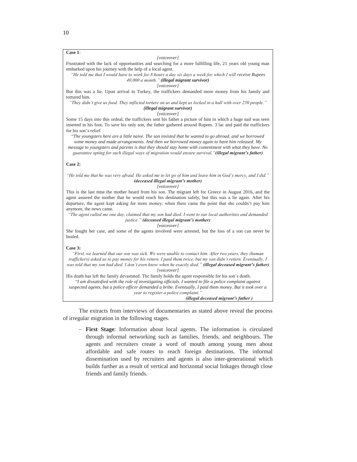# **Case 1**:

#### *[voiceover]*

Frustrated with the lack of opportunities and searching for a more fulfilling life, 21 years old young man embarked upon his journey with the help of a local agent.

*"He told me that I would have to work for 8 hours a day six days a week for which I will receive Rupees 40,000 a month." (illegal migrant survivor)*

#### *[voiceover]*

But this was a lie. Upon arrival in Turkey, the traffickers demanded more money from his family and tortured him.

*"They didn't give us food. They inflicted torture on us and kept us locked in a hall with over 250 people." (illegal migrant survivor)*

#### *[voiceover]*

Some 15 days into this ordeal, the traffickers sent his father a picture of him in which a huge nail was seen inserted in his foot. To save his only son, the father gathered around Rupees. 3 lac and paid the traffickers for his son's relief.

"*The youngsters here are a little naive. The son insisted that he wanted to go abroad, and we borrowed some money and made arrangements. And then we borrowed money again to have him released. My* 

*message to youngsters and parents is that they should stay home with contentment with what they have. No guarantee opting for such illegal ways of migration would ensure survival."(illegal migrant's father)*

#### **Case 2:**

#### *"He told me that he was very afraid. He asked me to let go of him and leave him in God's mercy, and I did." (deceased illegal migrant's mother)*

#### *[voiceover]*

This is the last time the mother heard from his son. The migrant left for Greece in August 2016, and the agent assured the mother that he would reach his destination safely, but this was a lie again. After his departure, the agent kept asking for more money; when there came the point that she couldn't pay him anymore, the news came.

*"The agent called me one day, claimed that my son had died. I went to our local authorities and demanded justice." (deceased illegal migrant's mother)*

#### *[voiceover]*

She fought her case, and some of the agents involved were arrested, but the loss of a son can never be healed.

#### **Case 3:**

*"First, we learned that our son was sick. We were unable to contact him. After two years, they (human traffickers) asked us to pay money for his return. I paid them twice, but my son didn't return. Eventually, I was told that my son had died. I don't even know when he exactly died." (illegal deceased migrant's father) [voiceover]*

His death has left the family devastated. The family holds the agent responsible for his son's death. "*I am dissatisfied with the role of investigating officials. I wanted to file a police complaint against suspected agents, but a police officer demanded a bribe. Eventually, I paid them money. But it took over a year to register a police complaint." (illegal deceased migrant's father )*

The extracts from interviews of documentaries as stated above reveal the process of irregular migration in the following stages.

 **First Stage**: Information about local agents. The information is circulated through informal networking such as families, friends, and neighbours. The agents and recruiters create a word of mouth among young men about affordable and safe routes to reach foreign destinations. The informal dissemination used by recruiters and agents is also inter-generational which builds further as a result of vertical and horizontal social linkages through close friends and family friends.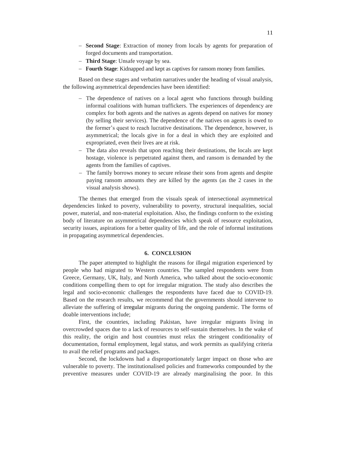- **Second Stage**: Extraction of money from locals by agents for preparation of forged documents and transportation.
- **Third Stage**: Unsafe voyage by sea.
- **Fourth Stage**: Kidnapped and kept as captives for ransom money from families.

Based on these stages and verbatim narratives under the heading of visual analysis, the following asymmetrical dependencies have been identified:

- The dependence of natives on a local agent who functions through building informal coalitions with human traffickers. The experiences of dependency are complex for both agents and the natives as agents depend on natives for money (by selling their services). The dependence of the natives on agents is owed to the former's quest to reach lucrative destinations. The dependence, however, is asymmetrical; the locals give in for a deal in which they are exploited and expropriated, even their lives are at risk.
- The data also reveals that upon reaching their destinations, the locals are kept hostage, violence is perpetrated against them, and ransom is demanded by the agents from the families of captives.
- The family borrows money to secure release their sons from agents and despite paying ransom amounts they are killed by the agents (as the 2 cases in the visual analysis shows).

The themes that emerged from the visuals speak of intersectional asymmetrical dependencies linked to poverty, vulnerability to poverty, structural inequalities, social power, material, and non-material exploitation. Also, the findings conform to the existing body of literature on asymmetrical dependencies which speak of resource exploitation, security issues, aspirations for a better quality of life, and the role of informal institutions in propagating asymmetrical dependencies.

# **6. CONCLUSION**

The paper attempted to highlight the reasons for illegal migration experienced by people who had migrated to Western countries. The sampled respondents were from Greece, Germany, UK, Italy, and North America, who talked about the socio-economic conditions compelling them to opt for irregular migration. The study also describes the legal and socio-economic challenges the respondents have faced due to COVID-19. Based on the research results, we recommend that the governments should intervene to alleviate the suffering of irregular migrants during the ongoing pandemic. The forms of doable interventions include;

First, the countries, including Pakistan, have irregular migrants living in overcrowded spaces due to a lack of resources to self-sustain themselves. In the wake of this reality, the origin and host countries must relax the stringent conditionality of documentation, formal employment, legal status, and work permits as qualifying criteria to avail the relief programs and packages.

Second, the lockdowns had a disproportionately larger impact on those who are vulnerable to poverty. The institutionalised policies and frameworks compounded by the preventive measures under COVID-19 are already marginalising the poor. In this